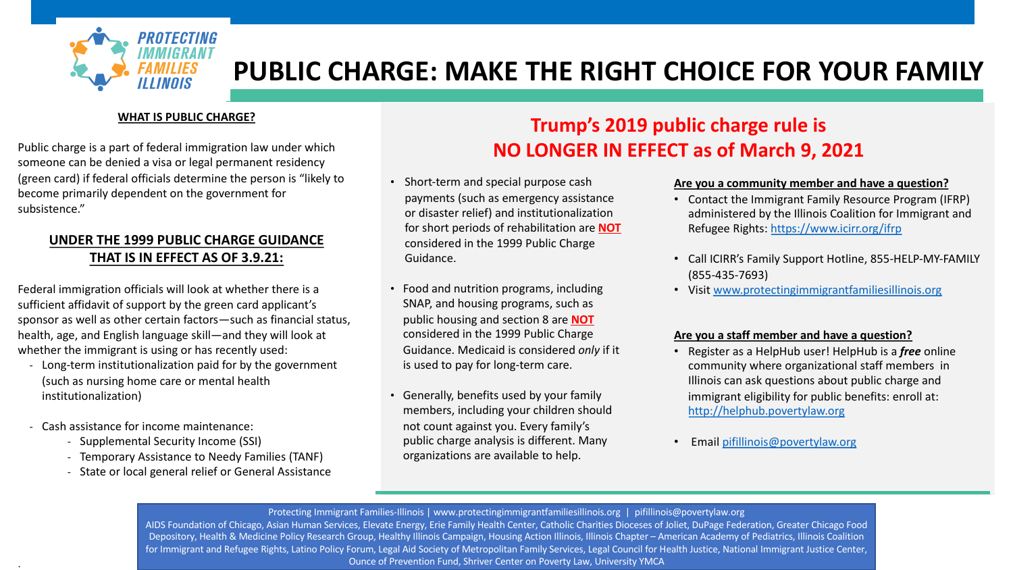

# **PUBLIC CHARGE: MAKE THE RIGHT**

#### **WHAT IS PUBLIC CHARGE?**

Public charge is a part of federal immigration law under which someone can be denied a visa or legal permanent residency (green card) if federal officials determine the person is "likely to become primarily dependent on the government for subsistence."

### **UNDER THE 1999 PUBLIC CHARGE GUIDANCE THAT IS IN EFFECT AS OF 3.9.21:**

Federal immigration officials will look at whether there is a sufficient affidavit of support by the green card applicant's sponsor as well as other certain factors—such as financial status, health, age, and English language skill—and they will look at whether the immigrant is using or has recently used:

- Long-term institutionalization paid for by the government (such as nursing home care or mental health institutionalization)
- Cash assistance for income maintenance:

.

- Supplemental Security Income (SSI)
- Temporary Assistance to Needy Families (TANF)
- State or local general relief or General Assistance

### **Trump's 2019 NO LONGER IN EF**

- Short-term and special purpose cash payments (such as emergency assistance or disaster relief) and institutionalization for short periods of rehabilitation are **NOT** considered in the 1999 Public Charge Guidance.
- Food and nutrition programs, including SNAP, and housing programs, such as public housing and section 8 are **NOT** considered in the 1999 Public Charge Guidance. Medicaid is considered *only* if it is used to pay for long-term care.
- Generally, benefits used by your family members, including your children should not count against you. Every family's public charge analysis is different. Many organizations are available to help.

Protecting Immigrant Families-Illinois | www.protectingimmigrantfamiliesillinois.org | pif AIDS Foundation of Chicago, Asian Human Services, Elevate Energy, Erie Family Health Center, Catholic Charities Dioces Depository, Health & Medicine Policy Research Group, Healthy Illinois Campaign, Housing Action Illinois, Illinois Chapte for Immigrant and Refugee Rights, Latino Policy Forum, Legal Aid Society of Metropolitan Family Services, Legal Council Ounce of Prevention Fund, Shriver Center on Poverty Law, University Y